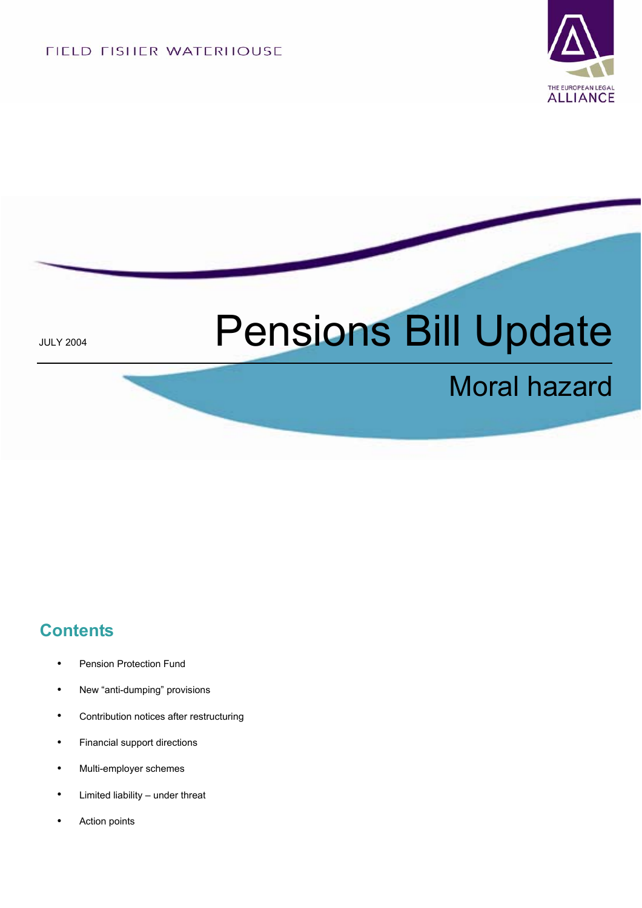FIELD FISHER WATERHOUSE



# JULY 2004 **Pensions Bill Update**

## Moral hazard

#### **Contents**

- Pension Protection Fund
- **•** New "anti-dumping" provisions
- **•** Contribution notices after restructuring
- **•** Financial support directions
- **•** Multi-employer schemes
- **•** Limited liability under threat
- **•** Action points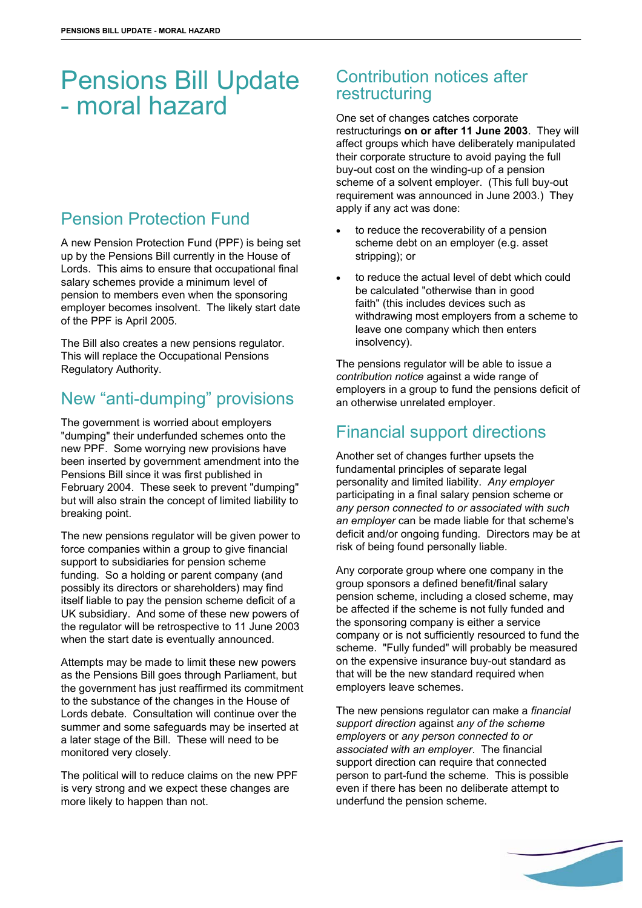### Pensions Bill Update - moral hazard

#### Pension Protection Fund

A new Pension Protection Fund (PPF) is being set up by the Pensions Bill currently in the House of Lords. This aims to ensure that occupational final salary schemes provide a minimum level of pension to members even when the sponsoring employer becomes insolvent. The likely start date of the PPF is April 2005.

The Bill also creates a new pensions regulator. This will replace the Occupational Pensions Regulatory Authority.

#### New "anti-dumping" provisions

The government is worried about employers "dumping" their underfunded schemes onto the new PPF. Some worrying new provisions have been inserted by government amendment into the Pensions Bill since it was first published in February 2004. These seek to prevent "dumping" but will also strain the concept of limited liability to breaking point.

The new pensions regulator will be given power to force companies within a group to give financial support to subsidiaries for pension scheme funding. So a holding or parent company (and possibly its directors or shareholders) may find itself liable to pay the pension scheme deficit of a UK subsidiary. And some of these new powers of the regulator will be retrospective to 11 June 2003 when the start date is eventually announced.

Attempts may be made to limit these new powers as the Pensions Bill goes through Parliament, but the government has just reaffirmed its commitment to the substance of the changes in the House of Lords debate. Consultation will continue over the summer and some safeguards may be inserted at a later stage of the Bill. These will need to be monitored very closely.

The political will to reduce claims on the new PPF is very strong and we expect these changes are more likely to happen than not.

#### Contribution notices after restructuring

One set of changes catches corporate restructurings **on or after 11 June 2003**.They will affect groups which have deliberately manipulated their corporate structure to avoid paying the full buy-out cost on the winding-up of a pension scheme of a solvent employer. (This full buy-out requirement was announced in June 2003.) They apply if any act was done:

- to reduce the recoverability of a pension scheme debt on an employer (e.g. asset stripping); or
- to reduce the actual level of debt which could be calculated "otherwise than in good faith" (this includes devices such as withdrawing most employers from a scheme to leave one company which then enters insolvency).

The pensions regulator will be able to issue a *contribution notice* against a wide range of employers in a group to fund the pensions deficit of an otherwise unrelated employer.

#### Financial support directions

Another set of changes further upsets the fundamental principles of separate legal personality and limited liability. *Any employer* participating in a final salary pension scheme or *any person connected to or associated with such an employer* can be made liable for that scheme's deficit and/or ongoing funding. Directors may be at risk of being found personally liable.

Any corporate group where one company in the group sponsors a defined benefit/final salary pension scheme, including a closed scheme, may be affected if the scheme is not fully funded and the sponsoring company is either a service company or is not sufficiently resourced to fund the scheme. "Fully funded" will probably be measured on the expensive insurance buy-out standard as that will be the new standard required when employers leave schemes.

The new pensions regulator can make a *financial support direction* against *any of the scheme employers* or *any person connected to or associated with an employer*. The financial support direction can require that connected person to part-fund the scheme. This is possible even if there has been no deliberate attempt to underfund the pension scheme.

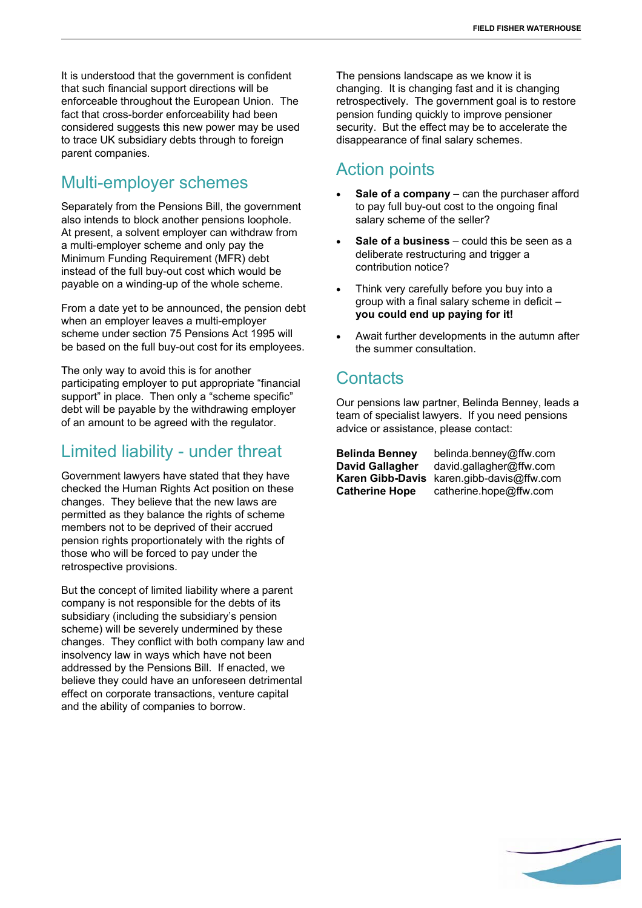It is understood that the government is confident that such financial support directions will be enforceable throughout the European Union. The fact that cross-border enforceability had been considered suggests this new power may be used to trace UK subsidiary debts through to foreign parent companies.

#### Multi-employer schemes

Separately from the Pensions Bill, the government also intends to block another pensions loophole. At present, a solvent employer can withdraw from a multi-employer scheme and only pay the Minimum Funding Requirement (MFR) debt instead of the full buy-out cost which would be payable on a winding-up of the whole scheme.

From a date yet to be announced, the pension debt when an employer leaves a multi-employer scheme under section 75 Pensions Act 1995 will be based on the full buy-out cost for its employees.

The only way to avoid this is for another participating employer to put appropriate "financial support" in place. Then only a "scheme specific" debt will be payable by the withdrawing employer of an amount to be agreed with the regulator.

#### Limited liability - under threat

Government lawyers have stated that they have checked the Human Rights Act position on these changes. They believe that the new laws are permitted as they balance the rights of scheme members not to be deprived of their accrued pension rights proportionately with the rights of those who will be forced to pay under the retrospective provisions.

But the concept of limited liability where a parent company is not responsible for the debts of its subsidiary (including the subsidiary's pension scheme) will be severely undermined by these changes. They conflict with both company law and insolvency law in ways which have not been addressed by the Pensions Bill. If enacted, we believe they could have an unforeseen detrimental effect on corporate transactions, venture capital and the ability of companies to borrow.

The pensions landscape as we know it is changing. It is changing fast and it is changing retrospectively. The government goal is to restore pension funding quickly to improve pensioner security. But the effect may be to accelerate the disappearance of final salary schemes.

#### Action points

- **Sale of a company** can the purchaser afford to pay full buy-out cost to the ongoing final salary scheme of the seller?
- **Sale of a business** could this be seen as a deliberate restructuring and trigger a contribution notice?
- Think very carefully before you buy into a group with a final salary scheme in deficit – **you could end up paying for it!**
- Await further developments in the autumn after the summer consultation.

#### **Contacts**

Our pensions law partner, Belinda Benney, leads a team of specialist lawyers. If you need pensions advice or assistance, please contact:

**Belinda Benney** belinda.benney@ffw.com **David Gallagher** david.gallagher@ffw.com **Karen Gibb-Davis** karen.gibb-davis@ffw.com **Catherine Hope** catherine.hope@ffw.com